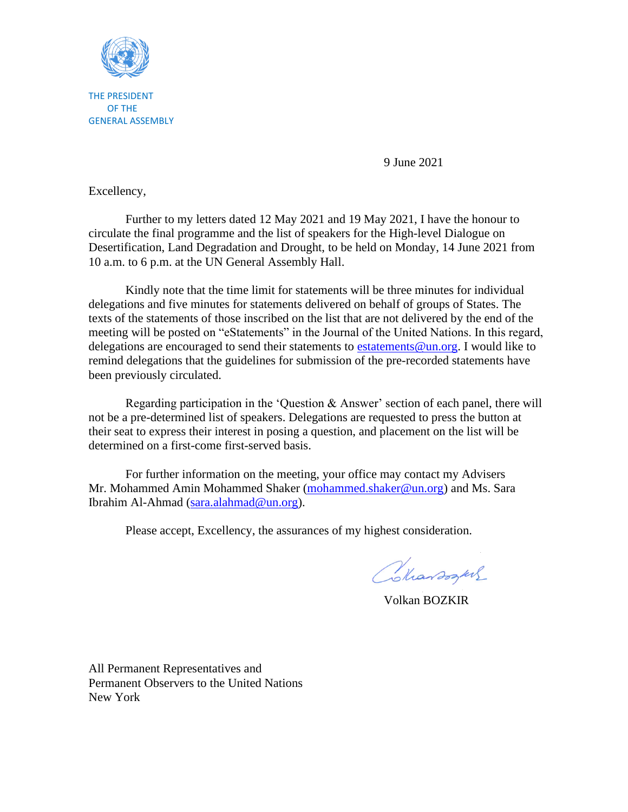

9 June 2021

Excellency,

Further to my letters dated 12 May 2021 and 19 May 2021, I have the honour to circulate the final programme and the list of speakers for the High-level Dialogue on Desertification, Land Degradation and Drought, to be held on Monday, 14 June 2021 from 10 a.m. to 6 p.m. at the UN General Assembly Hall.

Kindly note that the time limit for statements will be three minutes for individual delegations and five minutes for statements delivered on behalf of groups of States. The texts of the statements of those inscribed on the list that are not delivered by the end of the meeting will be posted on "eStatements" in the Journal of the United Nations. In this regard, delegations are encouraged to send their statements to [estatements@un.org.](mailto:estatements@un.org) I would like to remind delegations that the guidelines for submission of the pre-recorded statements have been previously circulated.

Regarding participation in the 'Question  $\&$  Answer' section of each panel, there will not be a pre-determined list of speakers. Delegations are requested to press the button at their seat to express their interest in posing a question, and placement on the list will be determined on a first-come first-served basis.

For further information on the meeting, your office may contact my Advisers Mr. Mohammed Amin Mohammed Shaker [\(mohammed.shaker@un.org\)](mailto:mohammed.shaker@un.org) and Ms. Sara Ibrahim Al-Ahmad [\(sara.alahmad@un.org\)](mailto:sara.alahmad@un.org).

Please accept, Excellency, the assurances of my highest consideration.

Collarsogues

Volkan BOZKIR

All Permanent Representatives and Permanent Observers to the United Nations New York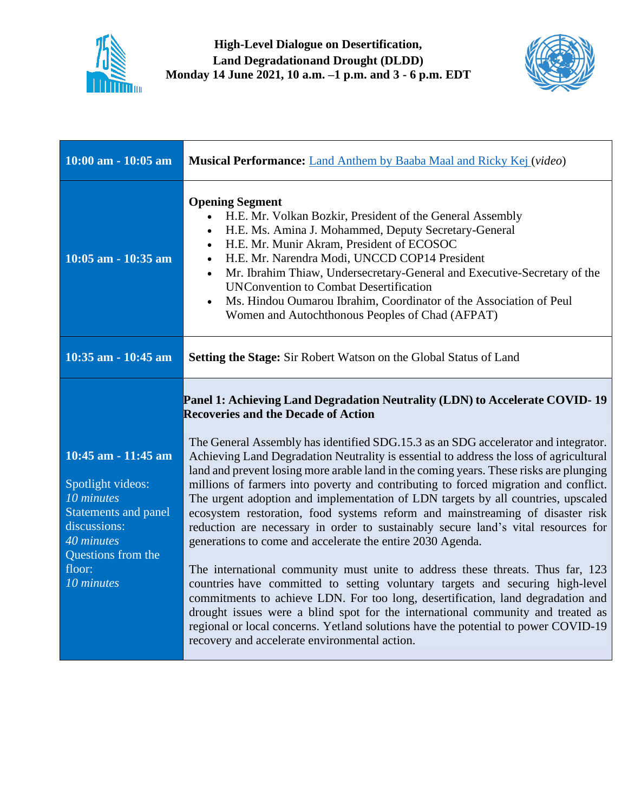

 **High-Level Dialogue on Desertification, Land Degradationand Drought (DLDD) Monday 14 June 2021, 10 a.m. –1 p.m. and 3 - 6 p.m. EDT**



| 10:00 am - 10:05 am                                                                                                                                               | Musical Performance: Land Anthem by Baaba Maal and Ricky Kej (video)                                                                                                                                                                                                                                                                                                                                                                                                                                                                                                                                                                                                                                                                                                                                                                                                                                                                                                                                                                                                                                                                                                                                                                                                                               |
|-------------------------------------------------------------------------------------------------------------------------------------------------------------------|----------------------------------------------------------------------------------------------------------------------------------------------------------------------------------------------------------------------------------------------------------------------------------------------------------------------------------------------------------------------------------------------------------------------------------------------------------------------------------------------------------------------------------------------------------------------------------------------------------------------------------------------------------------------------------------------------------------------------------------------------------------------------------------------------------------------------------------------------------------------------------------------------------------------------------------------------------------------------------------------------------------------------------------------------------------------------------------------------------------------------------------------------------------------------------------------------------------------------------------------------------------------------------------------------|
| 10:05 am - 10:35 am                                                                                                                                               | <b>Opening Segment</b><br>H.E. Mr. Volkan Bozkir, President of the General Assembly<br>H.E. Ms. Amina J. Mohammed, Deputy Secretary-General<br>$\bullet$<br>H.E. Mr. Munir Akram, President of ECOSOC<br>$\bullet$<br>H.E. Mr. Narendra Modi, UNCCD COP14 President<br>$\bullet$<br>Mr. Ibrahim Thiaw, Undersecretary-General and Executive-Secretary of the<br>$\bullet$<br><b>UNConvention to Combat Desertification</b><br>Ms. Hindou Oumarou Ibrahim, Coordinator of the Association of Peul<br>Women and Autochthonous Peoples of Chad (AFPAT)                                                                                                                                                                                                                                                                                                                                                                                                                                                                                                                                                                                                                                                                                                                                                |
| 10:35 am - 10:45 am                                                                                                                                               | Setting the Stage: Sir Robert Watson on the Global Status of Land                                                                                                                                                                                                                                                                                                                                                                                                                                                                                                                                                                                                                                                                                                                                                                                                                                                                                                                                                                                                                                                                                                                                                                                                                                  |
| 10:45 am - 11:45 am<br>Spotlight videos:<br>10 minutes<br><b>Statements and panel</b><br>discussions:<br>40 minutes<br>Questions from the<br>floor:<br>10 minutes | Panel 1: Achieving Land Degradation Neutrality (LDN) to Accelerate COVID-19<br><b>Recoveries and the Decade of Action</b><br>The General Assembly has identified SDG.15.3 as an SDG accelerator and integrator.<br>Achieving Land Degradation Neutrality is essential to address the loss of agricultural<br>land and prevent losing more arable land in the coming years. These risks are plunging<br>millions of farmers into poverty and contributing to forced migration and conflict.<br>The urgent adoption and implementation of LDN targets by all countries, upscaled<br>ecosystem restoration, food systems reform and mainstreaming of disaster risk<br>reduction are necessary in order to sustainably secure land's vital resources for<br>generations to come and accelerate the entire 2030 Agenda.<br>The international community must unite to address these threats. Thus far, 123<br>countries have committed to setting voluntary targets and securing high-level<br>commitments to achieve LDN. For too long, desertification, land degradation and<br>drought issues were a blind spot for the international community and treated as<br>regional or local concerns. Yetland solutions have the potential to power COVID-19<br>recovery and accelerate environmental action. |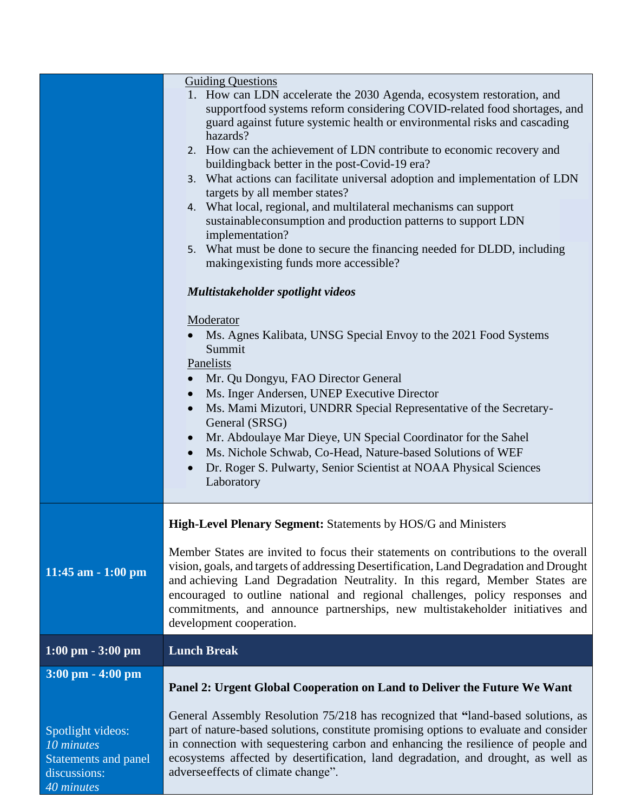|                                                                                                    | <b>Guiding Questions</b><br>1. How can LDN accelerate the 2030 Agenda, ecosystem restoration, and<br>supportfood systems reform considering COVID-related food shortages, and<br>guard against future systemic health or environmental risks and cascading<br>hazards?<br>2. How can the achievement of LDN contribute to economic recovery and<br>building back better in the post-Covid-19 era?<br>3. What actions can facilitate universal adoption and implementation of LDN<br>targets by all member states?<br>4. What local, regional, and multilateral mechanisms can support<br>sustainable consumption and production patterns to support LDN<br>implementation?<br>5. What must be done to secure the financing needed for DLDD, including<br>making existing funds more accessible?<br>Multistakeholder spotlight videos<br>Moderator<br>Ms. Agnes Kalibata, UNSG Special Envoy to the 2021 Food Systems<br>Summit<br>Panelists<br>Mr. Qu Dongyu, FAO Director General<br>Ms. Inger Andersen, UNEP Executive Director<br>$\bullet$<br>Ms. Mami Mizutori, UNDRR Special Representative of the Secretary-<br>$\bullet$<br>General (SRSG)<br>Mr. Abdoulaye Mar Dieye, UN Special Coordinator for the Sahel<br>Ms. Nichole Schwab, Co-Head, Nature-based Solutions of WEF<br>$\bullet$<br>Dr. Roger S. Pulwarty, Senior Scientist at NOAA Physical Sciences<br>Laboratory |
|----------------------------------------------------------------------------------------------------|-----------------------------------------------------------------------------------------------------------------------------------------------------------------------------------------------------------------------------------------------------------------------------------------------------------------------------------------------------------------------------------------------------------------------------------------------------------------------------------------------------------------------------------------------------------------------------------------------------------------------------------------------------------------------------------------------------------------------------------------------------------------------------------------------------------------------------------------------------------------------------------------------------------------------------------------------------------------------------------------------------------------------------------------------------------------------------------------------------------------------------------------------------------------------------------------------------------------------------------------------------------------------------------------------------------------------------------------------------------------------------------|
| 11:45 am $-1:00$ pm                                                                                | <b>High-Level Plenary Segment:</b> Statements by HOS/G and Ministers<br>Member States are invited to focus their statements on contributions to the overall<br>vision, goals, and targets of addressing Desertification, Land Degradation and Drought<br>and achieving Land Degradation Neutrality. In this regard, Member States are<br>encouraged to outline national and regional challenges, policy responses and<br>commitments, and announce partnerships, new multistakeholder initiatives and<br>development cooperation.                                                                                                                                                                                                                                                                                                                                                                                                                                                                                                                                                                                                                                                                                                                                                                                                                                                 |
| $1:00 \text{ pm} - 3:00 \text{ pm}$                                                                | <b>Lunch Break</b>                                                                                                                                                                                                                                                                                                                                                                                                                                                                                                                                                                                                                                                                                                                                                                                                                                                                                                                                                                                                                                                                                                                                                                                                                                                                                                                                                                |
| $3:00 \text{ pm} - 4:00 \text{ pm}$                                                                | Panel 2: Urgent Global Cooperation on Land to Deliver the Future We Want                                                                                                                                                                                                                                                                                                                                                                                                                                                                                                                                                                                                                                                                                                                                                                                                                                                                                                                                                                                                                                                                                                                                                                                                                                                                                                          |
| Spotlight videos:<br>$\overline{10}$ minutes<br>Statements and panel<br>discussions:<br>40 minutes | General Assembly Resolution 75/218 has recognized that "land-based solutions, as<br>part of nature-based solutions, constitute promising options to evaluate and consider<br>in connection with sequestering carbon and enhancing the resilience of people and<br>ecosystems affected by desertification, land degradation, and drought, as well as<br>adverseeffects of climate change".                                                                                                                                                                                                                                                                                                                                                                                                                                                                                                                                                                                                                                                                                                                                                                                                                                                                                                                                                                                         |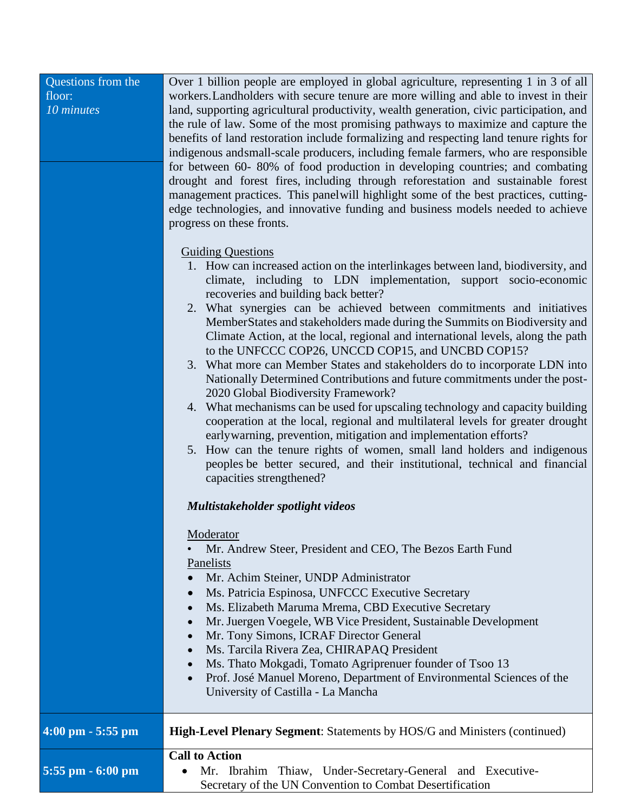| Questions from the<br>floor:<br>10 minutes | Over 1 billion people are employed in global agriculture, representing 1 in 3 of all<br>workers. Landholders with secure tenure are more willing and able to invest in their<br>land, supporting agricultural productivity, wealth generation, civic participation, and<br>the rule of law. Some of the most promising pathways to maximize and capture the<br>benefits of land restoration include formalizing and respecting land tenure rights for<br>indigenous and small-scale producers, including female farmers, who are responsible<br>for between 60-80% of food production in developing countries; and combating<br>drought and forest fires, including through reforestation and sustainable forest<br>management practices. This panel will highlight some of the best practices, cutting-<br>edge technologies, and innovative funding and business models needed to achieve<br>progress on these fronts.                                                                                                                                                                                                                                 |
|--------------------------------------------|----------------------------------------------------------------------------------------------------------------------------------------------------------------------------------------------------------------------------------------------------------------------------------------------------------------------------------------------------------------------------------------------------------------------------------------------------------------------------------------------------------------------------------------------------------------------------------------------------------------------------------------------------------------------------------------------------------------------------------------------------------------------------------------------------------------------------------------------------------------------------------------------------------------------------------------------------------------------------------------------------------------------------------------------------------------------------------------------------------------------------------------------------------|
|                                            | <b>Guiding Questions</b><br>1. How can increased action on the interlinkages between land, biodiversity, and<br>climate, including to LDN implementation, support socio-economic<br>recoveries and building back better?<br>2. What synergies can be achieved between commitments and initiatives<br>MemberStates and stakeholders made during the Summits on Biodiversity and<br>Climate Action, at the local, regional and international levels, along the path<br>to the UNFCCC COP26, UNCCD COP15, and UNCBD COP15?<br>3. What more can Member States and stakeholders do to incorporate LDN into<br>Nationally Determined Contributions and future commitments under the post-<br>2020 Global Biodiversity Framework?<br>4. What mechanisms can be used for upscaling technology and capacity building<br>cooperation at the local, regional and multilateral levels for greater drought<br>earlywarning, prevention, mitigation and implementation efforts?<br>5. How can the tenure rights of women, small land holders and indigenous<br>peoples be better secured, and their institutional, technical and financial<br>capacities strengthened? |
|                                            | Multistakeholder spotlight videos                                                                                                                                                                                                                                                                                                                                                                                                                                                                                                                                                                                                                                                                                                                                                                                                                                                                                                                                                                                                                                                                                                                        |
|                                            | Moderator<br>Mr. Andrew Steer, President and CEO, The Bezos Earth Fund<br>Panelists<br>Mr. Achim Steiner, UNDP Administrator<br>$\bullet$<br>Ms. Patricia Espinosa, UNFCCC Executive Secretary<br>Ms. Elizabeth Maruma Mrema, CBD Executive Secretary<br>$\bullet$<br>Mr. Juergen Voegele, WB Vice President, Sustainable Development<br>$\bullet$<br>Mr. Tony Simons, ICRAF Director General<br>$\bullet$<br>Ms. Tarcila Rivera Zea, CHIRAPAQ President<br>$\bullet$<br>Ms. Thato Mokgadi, Tomato Agriprenuer founder of Tsoo 13<br>$\bullet$<br>Prof. José Manuel Moreno, Department of Environmental Sciences of the<br>$\bullet$<br>University of Castilla - La Mancha                                                                                                                                                                                                                                                                                                                                                                                                                                                                               |
| $4:00 \text{ pm} - 5:55 \text{ pm}$        | <b>High-Level Plenary Segment:</b> Statements by HOS/G and Ministers (continued)                                                                                                                                                                                                                                                                                                                                                                                                                                                                                                                                                                                                                                                                                                                                                                                                                                                                                                                                                                                                                                                                         |
| 5:55 pm - 6:00 pm                          | <b>Call to Action</b><br>Mr. Ibrahim Thiaw, Under-Secretary-General and Executive-<br>Secretary of the UN Convention to Combat Desertification                                                                                                                                                                                                                                                                                                                                                                                                                                                                                                                                                                                                                                                                                                                                                                                                                                                                                                                                                                                                           |